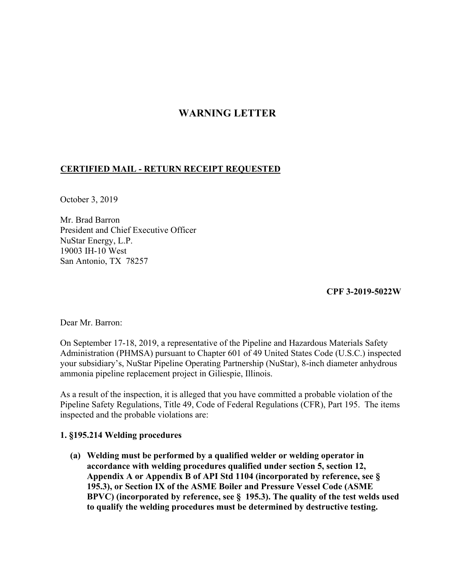## **WARNING LETTER**

## **CERTIFIED MAIL - RETURN RECEIPT REQUESTED**

October 3, 2019

Mr. Brad Barron President and Chief Executive Officer NuStar Energy, L.P. 19003 IH-10 West San Antonio, TX 78257

**CPF 3-2019-5022W** 

Dear Mr. Barron:

On September 17-18, 2019, a representative of the Pipeline and Hazardous Materials Safety Administration (PHMSA) pursuant to Chapter 601 of 49 United States Code (U.S.C.) inspected your subsidiary's, NuStar Pipeline Operating Partnership (NuStar), 8-inch diameter anhydrous ammonia pipeline replacement project in Giliespie, Illinois.

As a result of the inspection, it is alleged that you have committed a probable violation of the Pipeline Safety Regulations, Title 49, Code of Federal Regulations (CFR), Part 195. The items inspected and the probable violations are:

## **1. §195.214 Welding procedures**

**(a) Welding must be performed by a qualified welder or welding operator in accordance with welding procedures qualified under section 5, section 12, Appendix A or Appendix B of API Std 1104 (incorporated by reference, see § 195.3), or Section IX of the ASME Boiler and Pressure Vessel Code (ASME BPVC) (incorporated by reference, see § 195.3). The quality of the test welds used to qualify the welding procedures must be determined by destructive testing.**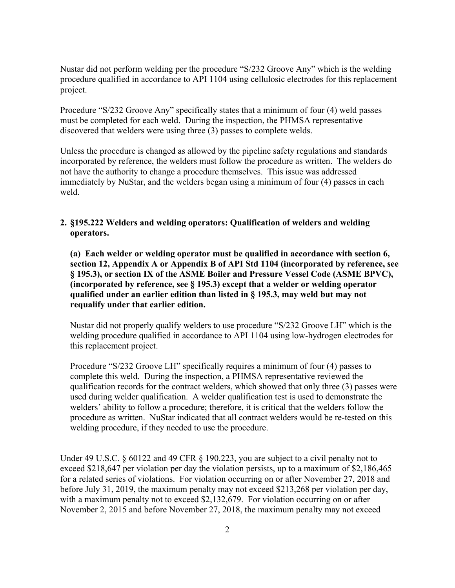Nustar did not perform welding per the procedure "S/232 Groove Any" which is the welding procedure qualified in accordance to API 1104 using cellulosic electrodes for this replacement project.

Procedure "S/232 Groove Any" specifically states that a minimum of four (4) weld passes must be completed for each weld. During the inspection, the PHMSA representative discovered that welders were using three (3) passes to complete welds.

Unless the procedure is changed as allowed by the pipeline safety regulations and standards incorporated by reference, the welders must follow the procedure as written. The welders do not have the authority to change a procedure themselves. This issue was addressed immediately by NuStar, and the welders began using a minimum of four (4) passes in each weld.

## **2. §195.222 Welders and welding operators: Qualification of welders and welding operators.**

**(a) Each welder or welding operator must be qualified in accordance with section 6, section 12, Appendix A or Appendix B of API Std 1104 (incorporated by reference, see § 195.3), or section IX of the ASME Boiler and Pressure Vessel Code (ASME BPVC), (incorporated by reference, see § 195.3) except that a welder or welding operator qualified under an earlier edition than listed in § 195.3, may weld but may not requalify under that earlier edition.** 

Nustar did not properly qualify welders to use procedure "S/232 Groove LH" which is the welding procedure qualified in accordance to API 1104 using low-hydrogen electrodes for this replacement project.

Procedure "S/232 Groove LH" specifically requires a minimum of four (4) passes to complete this weld. During the inspection, a PHMSA representative reviewed the qualification records for the contract welders, which showed that only three (3) passes were used during welder qualification. A welder qualification test is used to demonstrate the welders' ability to follow a procedure; therefore, it is critical that the welders follow the procedure as written. NuStar indicated that all contract welders would be re-tested on this welding procedure, if they needed to use the procedure.

Under 49 U.S.C. § 60122 and 49 CFR § 190.223, you are subject to a civil penalty not to exceed \$218,647 per violation per day the violation persists, up to a maximum of \$2,186,465 for a related series of violations. For violation occurring on or after November 27, 2018 and before July 31, 2019, the maximum penalty may not exceed \$213,268 per violation per day, with a maximum penalty not to exceed \$2,132,679. For violation occurring on or after November 2, 2015 and before November 27, 2018, the maximum penalty may not exceed